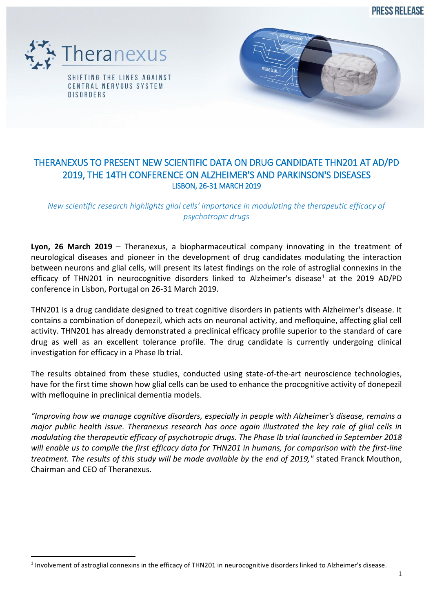PRESS REI FASE



 $\overline{a}$ 



## THERANEXUS TO PRESENT NEW SCIENTIFIC DATA ON DRUG CANDIDATE THN201 AT AD/PD 2019, THE 14TH CONFERENCE ON ALZHEIMER'S AND PARKINSON'S DISEASES LISBON, 26-31 MARCH 2019

*New scientific research highlights glial cells' importance in modulating the therapeutic efficacy of psychotropic drugs*

**Lyon, 26 March 2019** – Theranexus, a biopharmaceutical company innovating in the treatment of neurological diseases and pioneer in the development of drug candidates modulating the interaction between neurons and glial cells, will present its latest findings on the role of astroglial connexins in the efficacy of THN201 in neurocognitive disorders linked to Alzheimer's disease<sup>1</sup> at the 2019 AD/PD conference in Lisbon, Portugal on 26-31 March 2019.

THN201 is a drug candidate designed to treat cognitive disorders in patients with Alzheimer's disease. It contains a combination of donepezil, which acts on neuronal activity, and mefloquine, affecting glial cell activity. THN201 has already demonstrated a preclinical efficacy profile superior to the standard of care drug as well as an excellent tolerance profile. The drug candidate is currently undergoing clinical investigation for efficacy in a Phase Ib trial.

The results obtained from these studies, conducted using state-of-the-art neuroscience technologies, have for the first time shown how glial cells can be used to enhance the procognitive activity of donepezil with mefloquine in preclinical dementia models.

*"Improving how we manage cognitive disorders, especially in people with Alzheimer's disease, remains a major public health issue. Theranexus research has once again illustrated the key role of glial cells in modulating the therapeutic efficacy of psychotropic drugs. The Phase Ib trial launched in September 2018 will enable us to compile the first efficacy data for THN201 in humans, for comparison with the first-line treatment. The results of this study will be made available by the end of 2019,"* stated Franck Mouthon, Chairman and CEO of Theranexus.

 $1$  Involvement of astroglial connexins in the efficacy of THN201 in neurocognitive disorders linked to Alzheimer's disease.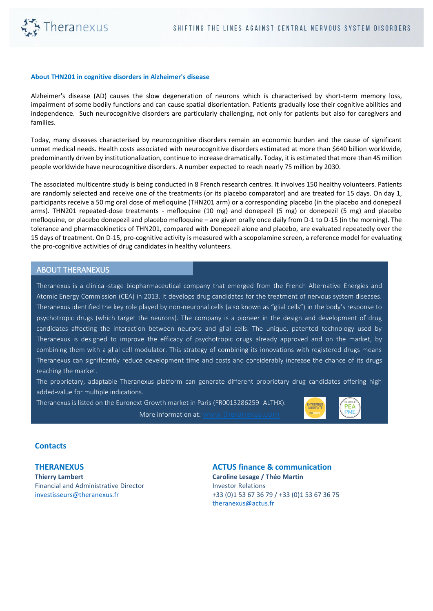

## **About THN201 in cognitive disorders in Alzheimer's disease**

Alzheimer's disease (AD) causes the slow degeneration of neurons which is characterised by short-term memory loss, impairment of some bodily functions and can cause spatial disorientation. Patients gradually lose their cognitive abilities and independence. Such neurocognitive disorders are particularly challenging, not only for patients but also for caregivers and families.

Today, many diseases characterised by neurocognitive disorders remain an economic burden and the cause of significant unmet medical needs. Health costs associated with neurocognitive disorders estimated at more than \$640 billion worldwide, predominantly driven by institutionalization, continue to increase dramatically. Today, it is estimated that more than 45 million people worldwide have neurocognitive disorders. A number expected to reach nearly 75 million by 2030.

The associated multicentre study is being conducted in 8 French research centres. It involves 150 healthy volunteers. Patients are randomly selected and receive one of the treatments (or its placebo comparator) and are treated for 15 days. On day 1, participants receive a 50 mg oral dose of mefloquine (THN201 arm) or a corresponding placebo (in the placebo and donepezil arms). THN201 repeated-dose treatments - mefloquine (10 mg) and donepezil (5 mg) or donepezil (5 mg) and placebo mefloquine, or placebo donepezil and placebo mefloquine – are given orally once daily from D-1 to D-15 (in the morning). The tolerance and pharmacokinetics of THN201, compared with Donepezil alone and placebo, are evaluated repeatedly over the 15 days of treatment. On D-15, pro-cognitive activity is measured with a scopolamine screen, a reference model for evaluating the pro-cognitive activities of drug candidates in healthy volunteers.

## ABOUT THERANEXUS

Theranexus is a clinical-stage biopharmaceutical company that emerged from the French Alternative Energies and Atomic Energy Commission (CEA) in 2013. It develops drug candidates for the treatment of nervous system diseases. Theranexus identified the key role played by non-neuronal cells (also known as "glial cells") in the body's response to psychotropic drugs (which target the neurons). The company is a pioneer in the design and development of drug candidates affecting the interaction between neurons and glial cells. The unique, patented technology used by Theranexus is designed to improve the efficacy of psychotropic drugs already approved and on the market, by combining them with a glial cell modulator. This strategy of combining its innovations with registered drugs means Theranexus can significantly reduce development time and costs and considerably increase the chance of its drugs reaching the market.

The proprietary, adaptable Theranexus platform can generate different proprietary drug candidates offering high added-value for multiple indications.

Theranexus is listed on the Euronext Growth market in Paris (FR0013286259- ALTHX).

More information at:



## **Contacts**

**THERANEXUS Thierry Lambert** Financial and Administrative Director [investisseurs@theranexus.fr](mailto:investisseurs@theranexus.fr)

**ACTUS finance & communication Caroline Lesage / Théo Martin** Investor Relations +33 (0)1 53 67 36 79 / +33 (0)1 53 67 36 75 [theranexus@actus.fr](mailto:theranexus@actus.fr)